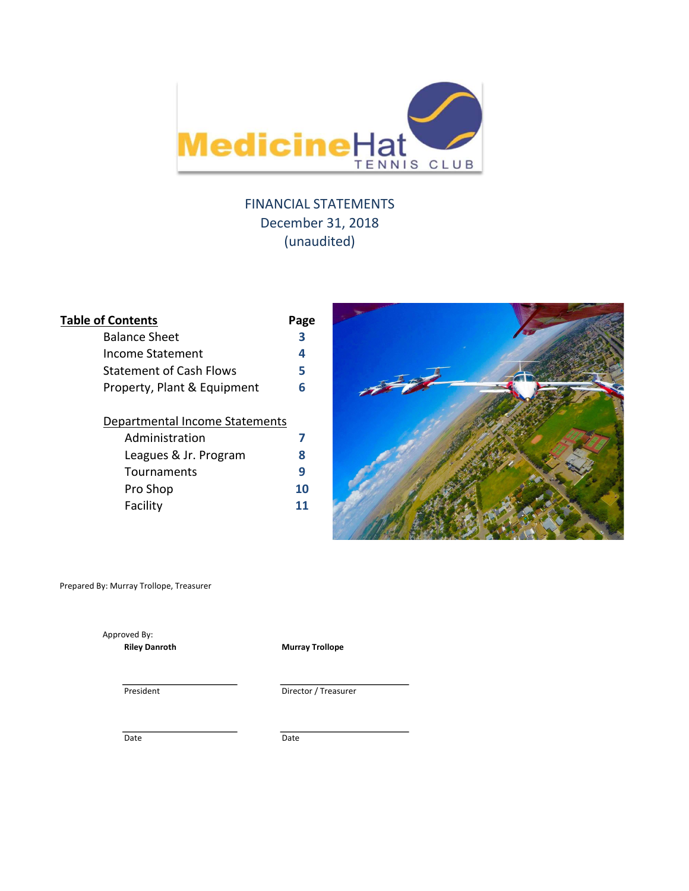

# FINANCIAL STATEMENTS December 31, 2018 (unaudited)

| <b>Table of Contents</b>       | Page |
|--------------------------------|------|
| <b>Balance Sheet</b>           | 3    |
| Income Statement               | 4    |
| Statement of Cash Flows        | 5    |
| Property, Plant & Equipment    | 6    |
| Departmental Income Statements |      |
| Administration                 | 7    |
| Leagues & Jr. Program          | 8    |
| Tournaments                    | 9    |
| Pro Shop                       | 10   |
| Facility                       | 11   |
|                                |      |



Prepared By: Murray Trollope, Treasurer

Approved By:

Riley Danroth **Murray Trollope** 

President Director / Treasurer

Date Date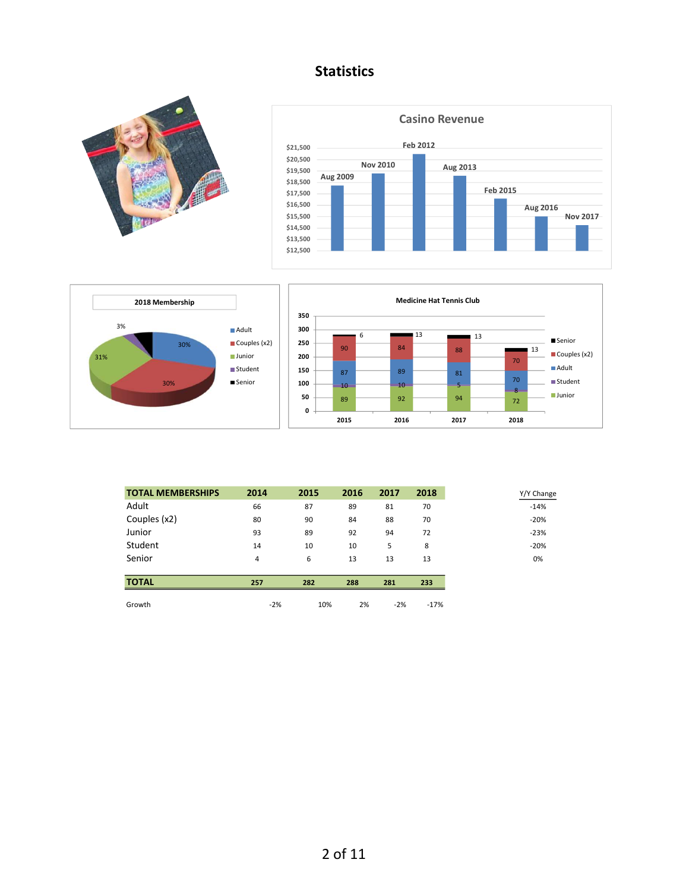# **Statistics**









| <b>TOTAL MEMBERSHIPS</b> | 2014  | 2015 | 2016 | 2017  | 2018   |
|--------------------------|-------|------|------|-------|--------|
| Adult                    | 66    | 87   | 89   | 81    | 70     |
| Couples (x2)             | 80    | 90   | 84   | 88    | 70     |
| Junior                   | 93    | 89   | 92   | 94    | 72     |
| Student                  | 14    | 10   | 10   | 5     | 8      |
| Senior                   | 4     | 6    | 13   | 13    | 13     |
| <b>TOTAL</b>             | 257   | 282  | 288  | 281   | 233    |
| Growth                   | $-2%$ | 10%  | 2%   | $-2%$ | $-17%$ |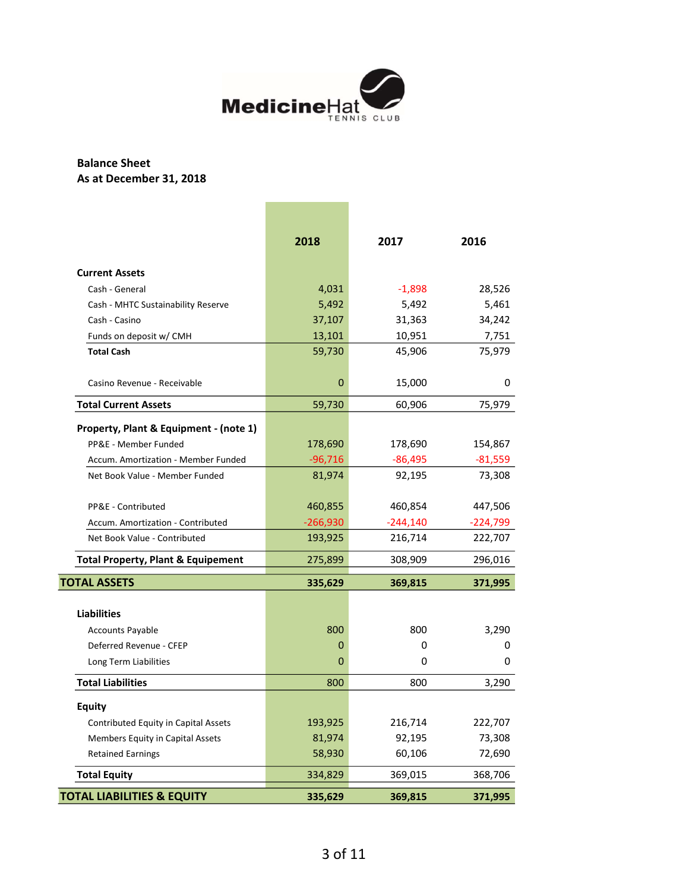

## Balance Sheet As at December 31, 2018

|                                               | 2018       | 2017       | 2016       |
|-----------------------------------------------|------------|------------|------------|
| <b>Current Assets</b>                         |            |            |            |
| Cash - General                                | 4,031      | $-1,898$   | 28,526     |
| Cash - MHTC Sustainability Reserve            | 5,492      | 5,492      | 5,461      |
| Cash - Casino                                 | 37,107     | 31,363     | 34,242     |
| Funds on deposit w/ CMH                       | 13,101     | 10,951     | 7,751      |
| <b>Total Cash</b>                             | 59,730     | 45,906     | 75,979     |
| Casino Revenue - Receivable                   | 0          | 15,000     | 0          |
| <b>Total Current Assets</b>                   | 59,730     | 60,906     | 75,979     |
| Property, Plant & Equipment - (note 1)        |            |            |            |
| PP&E - Member Funded                          | 178,690    | 178,690    | 154,867    |
| Accum. Amortization - Member Funded           | $-96,716$  | $-86,495$  | $-81,559$  |
| Net Book Value - Member Funded                | 81,974     | 92,195     | 73,308     |
| PP&E - Contributed                            | 460,855    | 460,854    | 447,506    |
| Accum. Amortization - Contributed             | $-266,930$ | $-244,140$ | $-224,799$ |
| Net Book Value - Contributed                  | 193,925    | 216,714    | 222,707    |
| <b>Total Property, Plant &amp; Equipement</b> | 275,899    | 308,909    | 296,016    |
| <b>TOTAL ASSETS</b>                           | 335,629    | 369,815    | 371,995    |
|                                               |            |            |            |
| <b>Liabilities</b>                            |            |            |            |
| <b>Accounts Payable</b>                       | 800        | 800        | 3,290      |
| Deferred Revenue - CFEP                       | 0          | 0          | 0          |
| Long Term Liabilities                         | 0          | 0          | 0          |
| <b>Total Liabilities</b>                      | 800        | 800        | 3,290      |
| <b>Equity</b>                                 |            |            |            |
| Contributed Equity in Capital Assets          | 193,925    | 216,714    | 222,707    |
| Members Equity in Capital Assets              | 81,974     | 92,195     | 73,308     |
| <b>Retained Earnings</b>                      | 58,930     | 60,106     | 72,690     |
| <b>Total Equity</b>                           | 334,829    | 369,015    | 368,706    |
| <b>TOTAL LIABILITIES &amp; EQUITY</b>         | 335,629    | 369,815    | 371,995    |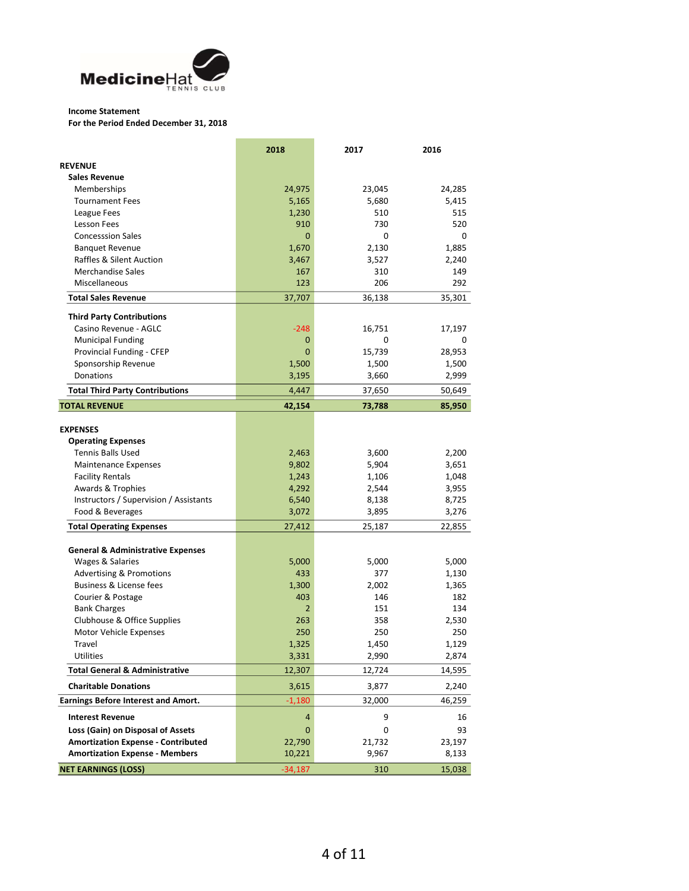

### Income Statement

For the Period Ended December 31, 2018

|                                              | 2018         | 2017   | 2016   |
|----------------------------------------------|--------------|--------|--------|
| <b>REVENUE</b>                               |              |        |        |
| <b>Sales Revenue</b>                         |              |        |        |
| Memberships                                  | 24,975       | 23,045 | 24,285 |
| <b>Tournament Fees</b>                       | 5,165        | 5,680  | 5,415  |
| League Fees                                  | 1,230        | 510    | 515    |
| <b>Lesson Fees</b>                           | 910          | 730    | 520    |
| <b>Concesssion Sales</b>                     | $\mathbf{0}$ | 0      | 0      |
| <b>Banquet Revenue</b>                       | 1,670        | 2,130  | 1,885  |
| <b>Raffles &amp; Silent Auction</b>          | 3,467        | 3,527  | 2,240  |
| <b>Merchandise Sales</b>                     | 167          | 310    | 149    |
| Miscellaneous                                | 123          | 206    | 292    |
| <b>Total Sales Revenue</b>                   | 37,707       | 36,138 | 35,301 |
| <b>Third Party Contributions</b>             |              |        |        |
| Casino Revenue - AGLC                        | $-248$       | 16,751 | 17,197 |
| <b>Municipal Funding</b>                     | 0            | 0      | 0      |
| Provincial Funding - CFEP                    | 0            | 15,739 | 28,953 |
| Sponsorship Revenue                          | 1,500        | 1,500  | 1,500  |
| Donations                                    | 3,195        | 3,660  | 2,999  |
| <b>Total Third Party Contributions</b>       | 4,447        | 37,650 | 50,649 |
|                                              |              |        |        |
| <b>TOTAL REVENUE</b>                         | 42,154       | 73,788 | 85,950 |
| <b>EXPENSES</b>                              |              |        |        |
| <b>Operating Expenses</b>                    |              |        |        |
| <b>Tennis Balls Used</b>                     | 2,463        | 3,600  | 2,200  |
| Maintenance Expenses                         | 9,802        | 5,904  | 3,651  |
| <b>Facility Rentals</b>                      | 1,243        | 1,106  | 1,048  |
| Awards & Trophies                            | 4,292        | 2,544  | 3,955  |
| Instructors / Supervision / Assistants       | 6,540        | 8,138  | 8,725  |
| Food & Beverages                             | 3,072        | 3,895  | 3,276  |
| <b>Total Operating Expenses</b>              | 27,412       | 25,187 | 22,855 |
|                                              |              |        |        |
| <b>General &amp; Administrative Expenses</b> |              |        |        |
| Wages & Salaries                             | 5,000        | 5,000  | 5,000  |
| <b>Advertising &amp; Promotions</b>          | 433          | 377    | 1,130  |
| Business & License fees                      | 1,300        | 2,002  | 1,365  |
| Courier & Postage                            | 403          | 146    | 182    |
| <b>Bank Charges</b>                          | 2            | 151    | 134    |
| Clubhouse & Office Supplies                  | 263          | 358    | 2,530  |
| Motor Vehicle Expenses                       | 250          | 250    | 250    |
| Travel                                       | 1,325        | 1,450  | 1,129  |
| <b>Utilities</b>                             | 3,331        | 2,990  | 2,874  |
| <b>Total General &amp; Administrative</b>    | 12,307       | 12,724 | 14,595 |
| <b>Charitable Donations</b>                  | 3,615        | 3,877  | 2,240  |
| <b>Earnings Before Interest and Amort.</b>   | $-1,180$     | 32,000 | 46,259 |
| <b>Interest Revenue</b>                      | 4            | 9      | 16     |
| Loss (Gain) on Disposal of Assets            | 0            | 0      | 93     |
| <b>Amortization Expense - Contributed</b>    | 22,790       | 21,732 | 23,197 |
| <b>Amortization Expense - Members</b>        | 10,221       | 9,967  | 8,133  |
| <b>NET EARNINGS (LOSS)</b>                   | $-34,187$    |        | 15,038 |
|                                              |              | 310    |        |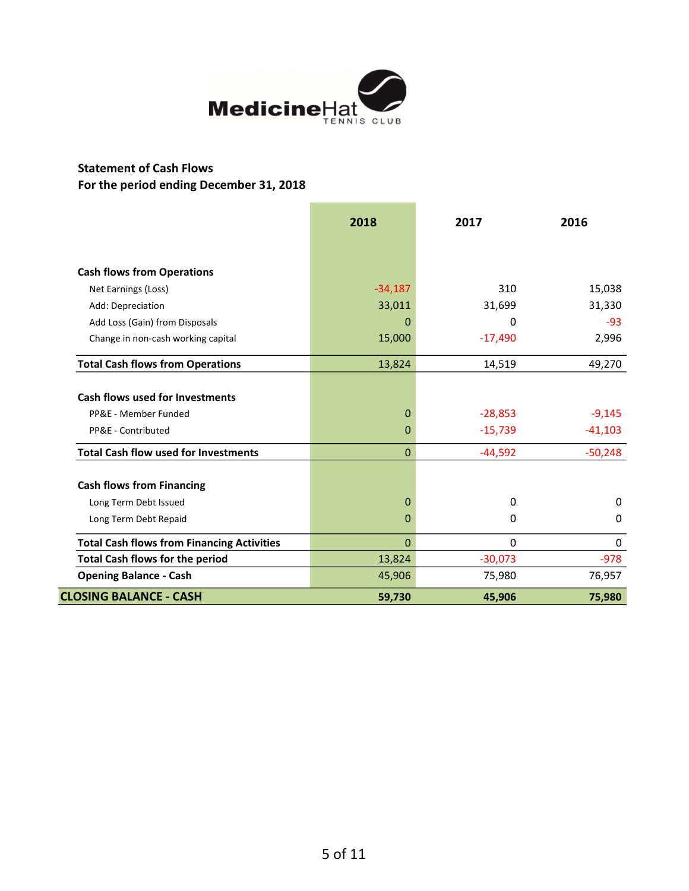

## Statement of Cash Flows For the period ending December 31, 2018

|                                                   | 2018        | 2017      | 2016      |
|---------------------------------------------------|-------------|-----------|-----------|
|                                                   |             |           |           |
| <b>Cash flows from Operations</b>                 |             |           |           |
| Net Earnings (Loss)                               | $-34,187$   | 310       | 15,038    |
| Add: Depreciation                                 | 33,011      | 31,699    | 31,330    |
| Add Loss (Gain) from Disposals                    | 0           | 0         | $-93$     |
| Change in non-cash working capital                | 15,000      | $-17,490$ | 2,996     |
| <b>Total Cash flows from Operations</b>           | 13,824      | 14,519    | 49,270    |
| <b>Cash flows used for Investments</b>            |             |           |           |
| PP&E - Member Funded                              | 0           | $-28,853$ | $-9,145$  |
| PP&E - Contributed                                | 0           | $-15,739$ | $-41,103$ |
| <b>Total Cash flow used for Investments</b>       | 0           | $-44,592$ | $-50,248$ |
| <b>Cash flows from Financing</b>                  |             |           |           |
| Long Term Debt Issued                             | 0           | 0         | 0         |
| Long Term Debt Repaid                             | 0           | 0         | 0         |
| <b>Total Cash flows from Financing Activities</b> | $\mathbf 0$ | 0         | 0         |
| <b>Total Cash flows for the period</b>            | 13,824      | $-30,073$ | $-978$    |
| <b>Opening Balance - Cash</b>                     | 45,906      | 75,980    | 76,957    |
| <b>CLOSING BALANCE - CASH</b>                     | 59,730      | 45,906    | 75,980    |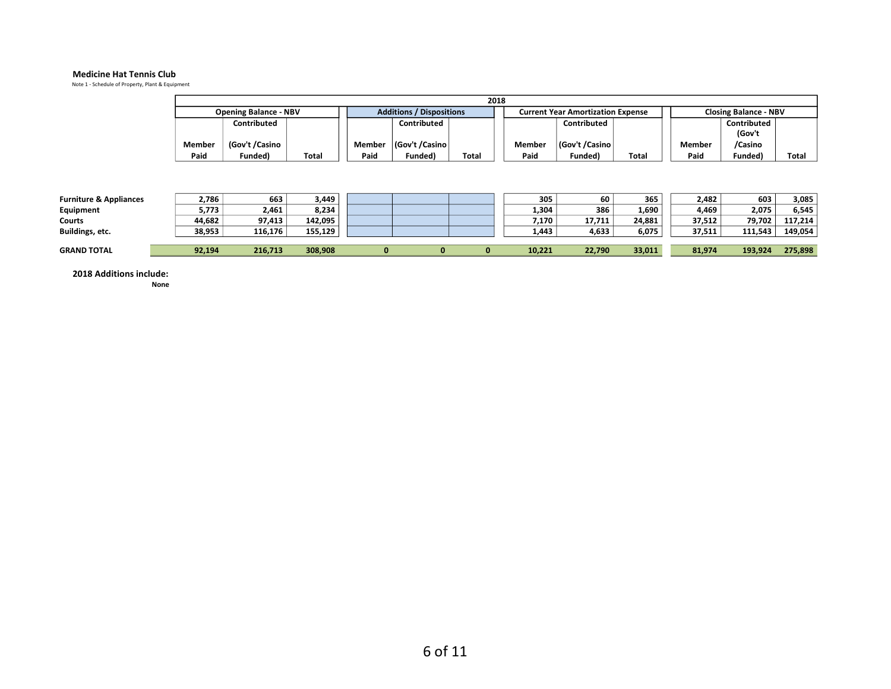#### Medicine Hat Tennis Club

Note 1 - Schedule of Property, Plant & Equipment

|                                   | 2018   |                              |         |          |                                 |       |        |                                          |        |        |                       |                              |  |
|-----------------------------------|--------|------------------------------|---------|----------|---------------------------------|-------|--------|------------------------------------------|--------|--------|-----------------------|------------------------------|--|
|                                   |        | <b>Opening Balance - NBV</b> |         |          | <b>Additions / Dispositions</b> |       |        | <b>Current Year Amortization Expense</b> |        |        |                       | <b>Closing Balance - NBV</b> |  |
|                                   |        | Contributed                  |         |          | Contributed                     |       |        | Contributed                              |        |        | Contributed<br>(Gov't |                              |  |
|                                   | Member | (Gov't /Casino               |         | Member   | Gov't /Casino                   |       | Member | (Gov't /Casino                           |        | Member | /Casino               |                              |  |
|                                   | Paid   | Funded)                      | Total   | Paid     | Funded)                         | Total | Paid   | Funded)                                  | Total  | Paid   | Funded)               | Total                        |  |
| <b>Furniture &amp; Appliances</b> | 2,786  | 663                          | 3,449   |          |                                 |       | 305    | 60                                       | 365    | 2,482  | 603                   | 3,085                        |  |
| Equipment                         | 5,773  | 2,461                        | 8,234   |          |                                 |       | 1,304  | 386                                      | 1,690  | 4,469  | 2,075                 | 6,545                        |  |
| Courts                            | 44,682 | 97,413                       | 142,095 |          |                                 |       | 7,170  | 17,711                                   | 24,881 | 37,512 | 79,702                | 117,214                      |  |
| Buildings, etc.                   | 38,953 | 116,176                      | 155,129 |          |                                 |       | 1,443  | 4,633                                    | 6,075  | 37,511 | 111,543               | 149,054                      |  |
| <b>GRAND TOTAL</b>                | 92,194 | 216,713                      | 308,908 | $\bf{0}$ | $\bf{0}$                        | 0     | 10,221 | 22,790                                   | 33,011 | 81,974 | 193,924               | 275,898                      |  |

2018 Additions include: None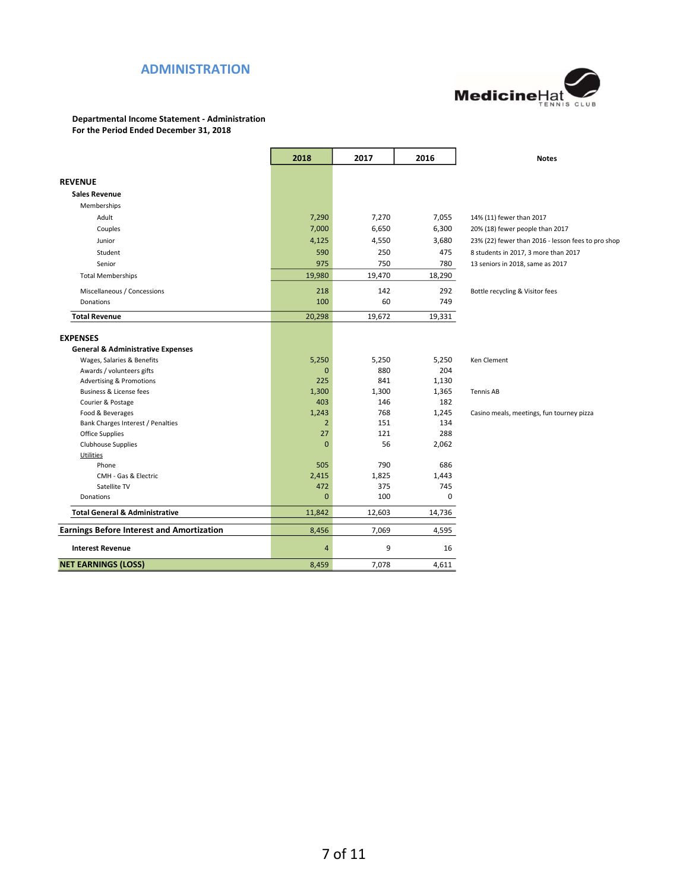### ADMINISTRATION



Departmental Income Statement - Administration For the Period Ended December 31, 2018

|                                                         | 2018           | 2017         | 2016         | <b>Notes</b>                                       |
|---------------------------------------------------------|----------------|--------------|--------------|----------------------------------------------------|
| <b>REVENUE</b>                                          |                |              |              |                                                    |
| <b>Sales Revenue</b>                                    |                |              |              |                                                    |
| Memberships                                             |                |              |              |                                                    |
|                                                         |                |              |              |                                                    |
| Adult                                                   | 7,290          | 7,270        | 7,055        | 14% (11) fewer than 2017                           |
| Couples                                                 | 7,000          | 6,650        | 6,300        | 20% (18) fewer people than 2017                    |
| Junior                                                  | 4,125          | 4,550        | 3,680        | 23% (22) fewer than 2016 - lesson fees to pro shop |
| Student                                                 | 590            | 250          | 475          | 8 students in 2017, 3 more than 2017               |
| Senior                                                  | 975            | 750          | 780          | 13 seniors in 2018, same as 2017                   |
| <b>Total Memberships</b>                                | 19,980         | 19,470       | 18,290       |                                                    |
| Miscellaneous / Concessions                             | 218            | 142          | 292          | Bottle recycling & Visitor fees                    |
| Donations                                               | 100            | 60           | 749          |                                                    |
| <b>Total Revenue</b>                                    | 20,298         | 19,672       | 19,331       |                                                    |
|                                                         |                |              |              |                                                    |
| <b>EXPENSES</b>                                         |                |              |              |                                                    |
| <b>General &amp; Administrative Expenses</b>            |                |              |              |                                                    |
| Wages, Salaries & Benefits<br>Awards / volunteers gifts | 5,250          | 5,250<br>880 | 5,250<br>204 | Ken Clement                                        |
| <b>Advertising &amp; Promotions</b>                     | 0<br>225       | 841          | 1,130        |                                                    |
| <b>Business &amp; License fees</b>                      | 1,300          | 1,300        | 1,365        | <b>Tennis AB</b>                                   |
| Courier & Postage                                       | 403            | 146          | 182          |                                                    |
| Food & Beverages                                        | 1,243          | 768          | 1,245        | Casino meals, meetings, fun tourney pizza          |
| Bank Charges Interest / Penalties                       | $\overline{2}$ | 151          | 134          |                                                    |
| Office Supplies                                         | 27             | 121          | 288          |                                                    |
| Clubhouse Supplies                                      | $\Omega$       | 56           | 2,062        |                                                    |
| Utilities                                               |                |              |              |                                                    |
| Phone                                                   | 505            | 790          | 686          |                                                    |
| CMH - Gas & Electric                                    | 2,415          | 1,825        | 1,443        |                                                    |
| Satellite TV                                            | 472            | 375          | 745          |                                                    |
| Donations                                               | $\mathbf{0}$   | 100          | 0            |                                                    |
| <b>Total General &amp; Administrative</b>               | 11,842         | 12,603       | 14,736       |                                                    |
| <b>Earnings Before Interest and Amortization</b>        | 8,456          | 7,069        | 4,595        |                                                    |
| <b>Interest Revenue</b>                                 | $\overline{4}$ | 9            | 16           |                                                    |
| <b>NET EARNINGS (LOSS)</b>                              | 8,459          | 7,078        | 4,611        |                                                    |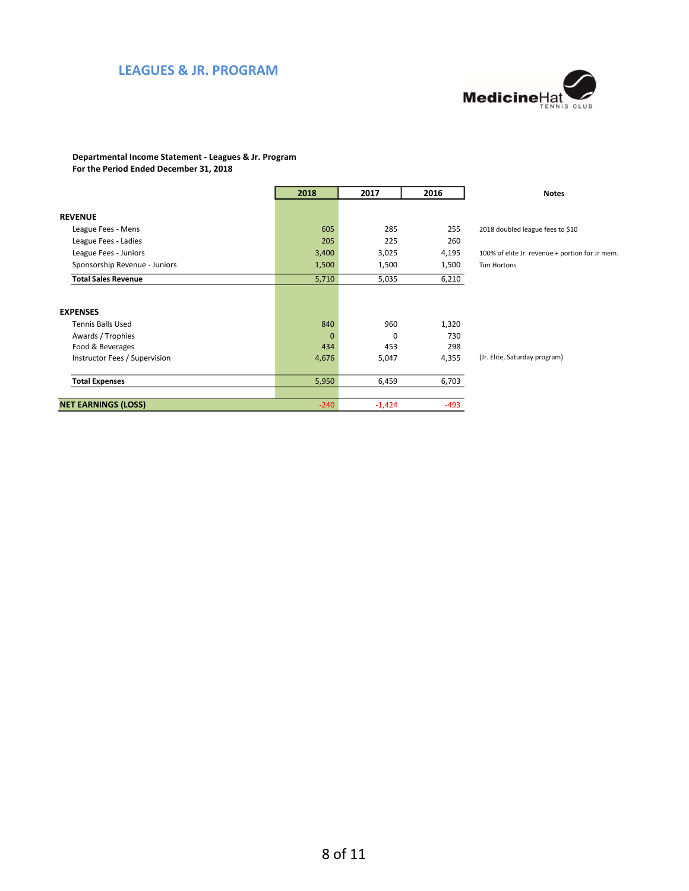## LEAGUES & JR. PROGRAM



#### Departmental Income Statement - Leagues & Jr. Program For the Period Ended December 31, 2018

|                               | 2018           | 2017     | 2016   | <b>Notes</b>                                    |
|-------------------------------|----------------|----------|--------|-------------------------------------------------|
|                               |                |          |        |                                                 |
| <b>REVENUE</b>                |                |          |        |                                                 |
| League Fees - Mens            | 605            | 285      | 255    | 2018 doubled league fees to \$10                |
| League Fees - Ladies          | 205            | 225      | 260    |                                                 |
| League Fees - Juniors         | 3,400          | 3,025    | 4,195  | 100% of elite Jr. revenue + portion for Jr mem. |
| Sponsorship Revenue - Juniors | 1,500          | 1,500    | 1,500  | Tim Hortons                                     |
| <b>Total Sales Revenue</b>    | 5,710          | 5,035    | 6,210  |                                                 |
|                               |                |          |        |                                                 |
| <b>EXPENSES</b>               |                |          |        |                                                 |
| <b>Tennis Balls Used</b>      | 840            | 960      | 1,320  |                                                 |
| Awards / Trophies             | $\overline{0}$ | 0        | 730    |                                                 |
| Food & Beverages              | 434            | 453      | 298    |                                                 |
| Instructor Fees / Supervision | 4,676          | 5,047    | 4,355  | (Jr. Elite, Saturday program)                   |
|                               |                |          |        |                                                 |
| <b>Total Expenses</b>         | 5,950          | 6,459    | 6,703  |                                                 |
|                               |                |          |        |                                                 |
| <b>NET EARNINGS (LOSS)</b>    | $-240$         | $-1,424$ | $-493$ |                                                 |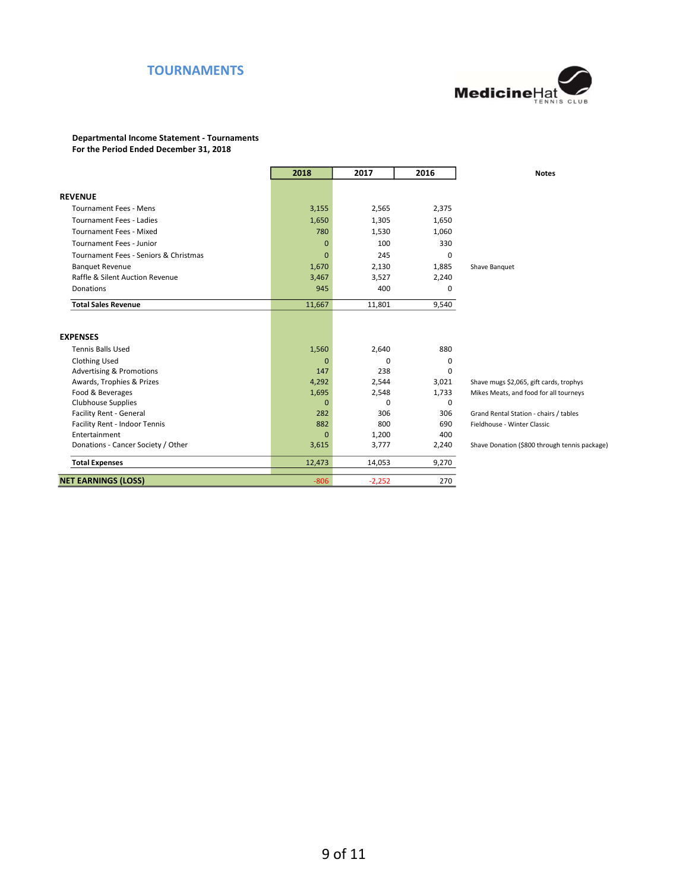### TOURNAMENTS



## Departmental Income Statement - Tournaments

For the Period Ended December 31, 2018

|                                       | 2018         | 2017     | 2016  | <b>Notes</b>                                  |
|---------------------------------------|--------------|----------|-------|-----------------------------------------------|
|                                       |              |          |       |                                               |
| <b>REVENUE</b>                        |              |          |       |                                               |
| <b>Tournament Fees - Mens</b>         | 3,155        | 2,565    | 2,375 |                                               |
| <b>Tournament Fees - Ladies</b>       | 1,650        | 1,305    | 1,650 |                                               |
| <b>Tournament Fees - Mixed</b>        | 780          | 1,530    | 1,060 |                                               |
| <b>Tournament Fees - Junior</b>       | $\mathbf{0}$ | 100      | 330   |                                               |
| Tournament Fees - Seniors & Christmas | $\mathbf{0}$ | 245      | 0     |                                               |
| <b>Banquet Revenue</b>                | 1,670        | 2,130    | 1,885 | Shave Banquet                                 |
| Raffle & Silent Auction Revenue       | 3,467        | 3,527    | 2,240 |                                               |
| Donations                             | 945          | 400      | 0     |                                               |
| <b>Total Sales Revenue</b>            | 11,667       | 11,801   | 9,540 |                                               |
|                                       |              |          |       |                                               |
| <b>EXPENSES</b>                       |              |          |       |                                               |
| <b>Tennis Balls Used</b>              | 1,560        | 2,640    | 880   |                                               |
| <b>Clothing Used</b>                  | $\mathbf{0}$ | $\Omega$ | 0     |                                               |
| <b>Advertising &amp; Promotions</b>   | 147          | 238      | 0     |                                               |
| Awards, Trophies & Prizes             | 4,292        | 2,544    | 3,021 | Shave mugs \$2,065, gift cards, trophys       |
| Food & Beverages                      | 1,695        | 2,548    | 1,733 | Mikes Meats, and food for all tourneys        |
| <b>Clubhouse Supplies</b>             | $\mathbf{0}$ | $\Omega$ | 0     |                                               |
| <b>Facility Rent - General</b>        | 282          | 306      | 306   | Grand Rental Station - chairs / tables        |
| Facility Rent - Indoor Tennis         | 882          | 800      | 690   | Fieldhouse - Winter Classic                   |
| Entertainment                         | $\mathbf{0}$ | 1,200    | 400   |                                               |
| Donations - Cancer Society / Other    | 3,615        | 3,777    | 2,240 | Shave Donation (\$800 through tennis package) |
| <b>Total Expenses</b>                 | 12,473       | 14,053   | 9,270 |                                               |
| <b>NET EARNINGS (LOSS)</b>            | $-806$       | $-2,252$ | 270   |                                               |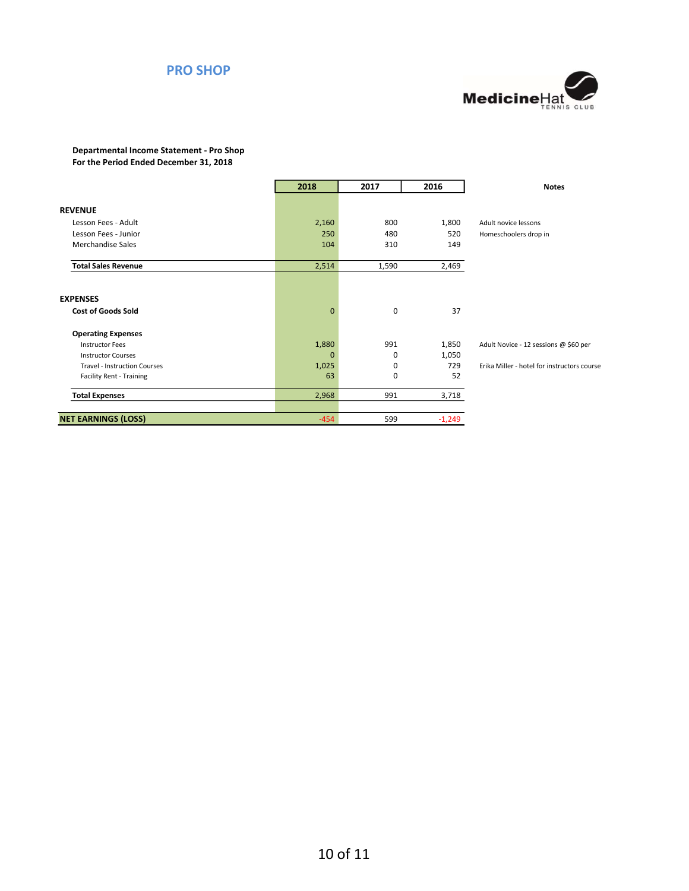### PRO SHOP



### Departmental Income Statement - Pro Shop For the Period Ended December 31, 2018

|                                     | 2018         | 2017  | 2016     | <b>Notes</b>                                |
|-------------------------------------|--------------|-------|----------|---------------------------------------------|
|                                     |              |       |          |                                             |
| <b>REVENUE</b>                      |              |       |          |                                             |
| Lesson Fees - Adult                 | 2,160        | 800   | 1,800    | Adult novice lessons                        |
| Lesson Fees - Junior                | 250          | 480   | 520      | Homeschoolers drop in                       |
| <b>Merchandise Sales</b>            | 104          | 310   | 149      |                                             |
| <b>Total Sales Revenue</b>          | 2,514        | 1,590 | 2,469    |                                             |
|                                     |              |       |          |                                             |
| <b>EXPENSES</b>                     |              |       |          |                                             |
| <b>Cost of Goods Sold</b>           | $\mathbf{0}$ | 0     | 37       |                                             |
| <b>Operating Expenses</b>           |              |       |          |                                             |
| <b>Instructor Fees</b>              | 1,880        | 991   | 1,850    | Adult Novice - 12 sessions @ \$60 per       |
| <b>Instructor Courses</b>           | $\mathbf 0$  | 0     | 1,050    |                                             |
| <b>Travel - Instruction Courses</b> | 1,025        | 0     | 729      | Erika Miller - hotel for instructors course |
| <b>Facility Rent - Training</b>     | 63           | 0     | 52       |                                             |
| <b>Total Expenses</b>               | 2,968        | 991   | 3,718    |                                             |
|                                     |              |       |          |                                             |
| <b>NET EARNINGS (LOSS)</b>          | $-454$       | 599   | $-1,249$ |                                             |